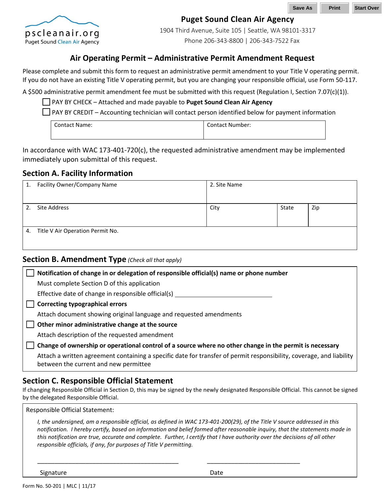

## **Puget Sound Clean Air Agency**

1904 Third Avenue, Suite 105 | Seattle, WA 98101-3317 Phone 206-343-8800 | 206-343-7522 Fax

## **Air Operating Permit – Administrative Permit Amendment Request**

Please complete and submit this form to request an administrative permit amendment to your Title V operating permit. If you do not have an existing Title V operating permit, but you are changing your responsible official, use Form 50-117.

A \$500 administrative permit amendment fee must be submitted with this request (Regulation I, Section 7.07(c)(1)).

PAY BY CHECK – Attached and made payable to **Puget Sound Clean Air Agency**

 $\Box$  PAY BY CREDIT – Accounting technician will contact person identified below for payment information

| <b>Contact Name:</b> | <b>Contact Number:</b> |
|----------------------|------------------------|
|----------------------|------------------------|

In accordance with WAC 173-401-720(c), the requested administrative amendment may be implemented immediately upon submittal of this request.

#### **Section A. Facility Information**

| 1. | Facility Owner/Company Name      | 2. Site Name |       |     |
|----|----------------------------------|--------------|-------|-----|
|    |                                  |              |       |     |
| 2. | Site Address                     | City         | State | Zip |
|    |                                  |              |       |     |
| 4. | Title V Air Operation Permit No. |              |       |     |
|    |                                  |              |       |     |

#### **Section B. Amendment Type** *(Check all that apply)*

| Notification of change in or delegation of responsible official(s) name or phone number                                                                       |  |  |
|---------------------------------------------------------------------------------------------------------------------------------------------------------------|--|--|
| Must complete Section D of this application                                                                                                                   |  |  |
| Effective date of change in responsible official(s)                                                                                                           |  |  |
| <b>Correcting typographical errors</b>                                                                                                                        |  |  |
| Attach document showing original language and requested amendments                                                                                            |  |  |
| Other minor administrative change at the source                                                                                                               |  |  |
| Attach description of the requested amendment                                                                                                                 |  |  |
| Change of ownership or operational control of a source where no other change in the permit is necessary                                                       |  |  |
| Attach a written agreement containing a specific date for transfer of permit responsibility, coverage, and liability<br>between the current and new permittee |  |  |

## **Section C. Responsible Official Statement**

If changing Responsible Official in Section D, this may be signed by the newly designated Responsible Official. This cannot be signed by the delegated Responsible Official.

Responsible Official Statement:

*I, the undersigned, am a responsible official, as defined in WAC 173-401-200(29), of the Title V source addressed in this notification. I hereby certify, based on information and belief formed after reasonable inquiry, that the statements made in this notification are true, accurate and complete. Further, I certify that I have authority over the decisions of all other responsible officials, if any, for purposes of Title V permitting.*

\_\_\_\_\_\_\_\_\_\_\_\_\_\_\_\_\_\_\_\_\_\_\_\_\_\_\_\_\_\_\_\_\_\_\_\_\_\_\_\_\_ \_\_\_\_\_\_\_\_\_\_\_\_\_\_\_\_\_\_\_\_\_\_\_\_\_\_\_

Signature Date Date Date